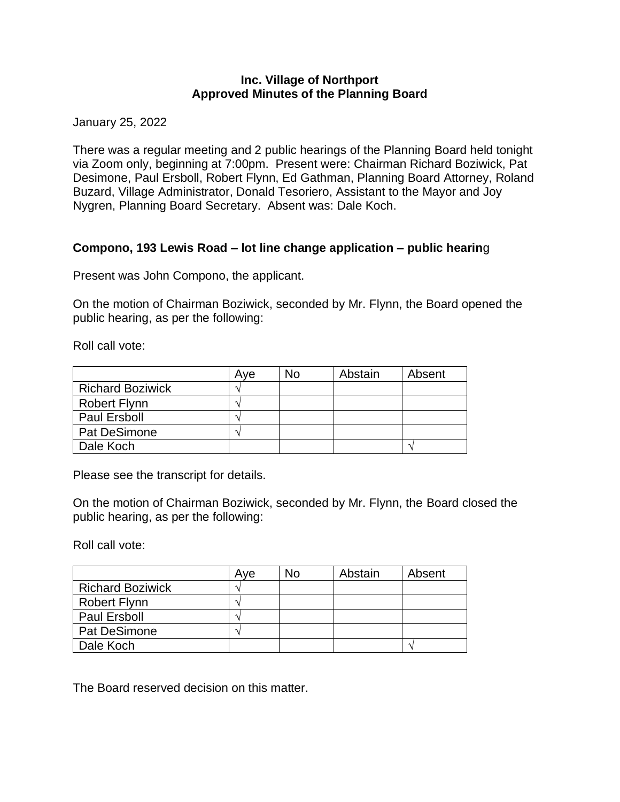#### **Inc. Village of Northport Approved Minutes of the Planning Board**

January 25, 2022

There was a regular meeting and 2 public hearings of the Planning Board held tonight via Zoom only, beginning at 7:00pm. Present were: Chairman Richard Boziwick, Pat Desimone, Paul Ersboll, Robert Flynn, Ed Gathman, Planning Board Attorney, Roland Buzard, Village Administrator, Donald Tesoriero, Assistant to the Mayor and Joy Nygren, Planning Board Secretary. Absent was: Dale Koch.

# **Compono, 193 Lewis Road – lot line change application – public hearin**g

Present was John Compono, the applicant.

On the motion of Chairman Boziwick, seconded by Mr. Flynn, the Board opened the public hearing, as per the following:

Roll call vote:

|                         | Ave | Nο | Abstain | Absent |
|-------------------------|-----|----|---------|--------|
| <b>Richard Boziwick</b> |     |    |         |        |
| <b>Robert Flynn</b>     |     |    |         |        |
| <b>Paul Ersboll</b>     |     |    |         |        |
| <b>Pat DeSimone</b>     |     |    |         |        |
| Dale Koch               |     |    |         |        |

Please see the transcript for details.

On the motion of Chairman Boziwick, seconded by Mr. Flynn, the Board closed the public hearing, as per the following:

Roll call vote:

|                         | Ave | No | Abstain | Absent |
|-------------------------|-----|----|---------|--------|
| <b>Richard Boziwick</b> |     |    |         |        |
| <b>Robert Flynn</b>     |     |    |         |        |
| <b>Paul Ersboll</b>     |     |    |         |        |
| <b>Pat DeSimone</b>     |     |    |         |        |
| Dale Koch               |     |    |         |        |

The Board reserved decision on this matter.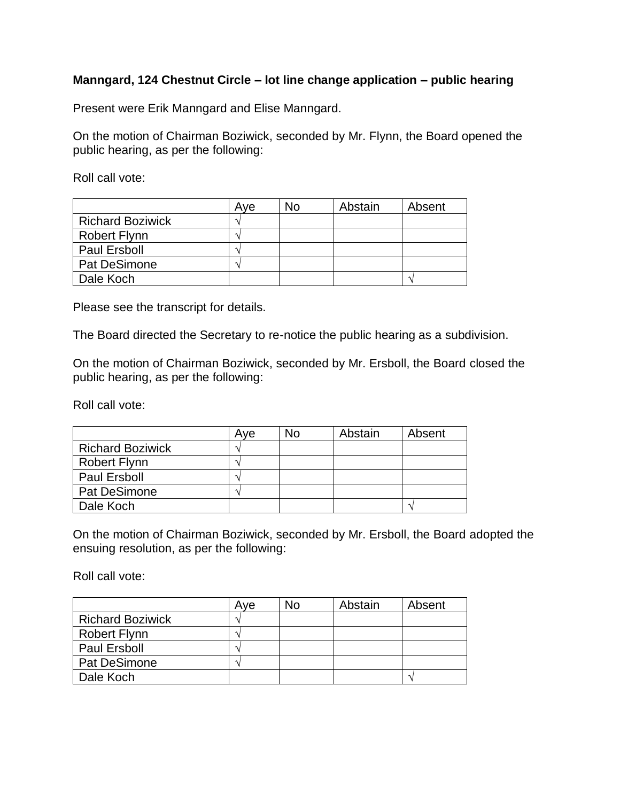# **Manngard, 124 Chestnut Circle – lot line change application – public hearing**

Present were Erik Manngard and Elise Manngard.

On the motion of Chairman Boziwick, seconded by Mr. Flynn, the Board opened the public hearing, as per the following:

Roll call vote:

|                         | Ave | No | Abstain | Absent |
|-------------------------|-----|----|---------|--------|
| <b>Richard Boziwick</b> |     |    |         |        |
| <b>Robert Flynn</b>     |     |    |         |        |
| <b>Paul Ersboll</b>     |     |    |         |        |
| <b>Pat DeSimone</b>     |     |    |         |        |
| Dale Koch               |     |    |         |        |

Please see the transcript for details.

The Board directed the Secretary to re-notice the public hearing as a subdivision.

On the motion of Chairman Boziwick, seconded by Mr. Ersboll, the Board closed the public hearing, as per the following:

Roll call vote:

|                         | Ave | No | Abstain | Absent |
|-------------------------|-----|----|---------|--------|
| <b>Richard Boziwick</b> |     |    |         |        |
| <b>Robert Flynn</b>     |     |    |         |        |
| <b>Paul Ersboll</b>     |     |    |         |        |
| <b>Pat DeSimone</b>     |     |    |         |        |
| Dale Koch               |     |    |         |        |

On the motion of Chairman Boziwick, seconded by Mr. Ersboll, the Board adopted the ensuing resolution, as per the following:

Roll call vote:

|                         | Ave | N٥ | Abstain | Absent |
|-------------------------|-----|----|---------|--------|
| <b>Richard Boziwick</b> |     |    |         |        |
| <b>Robert Flynn</b>     |     |    |         |        |
| <b>Paul Ersboll</b>     |     |    |         |        |
| <b>Pat DeSimone</b>     |     |    |         |        |
| Dale Koch               |     |    |         |        |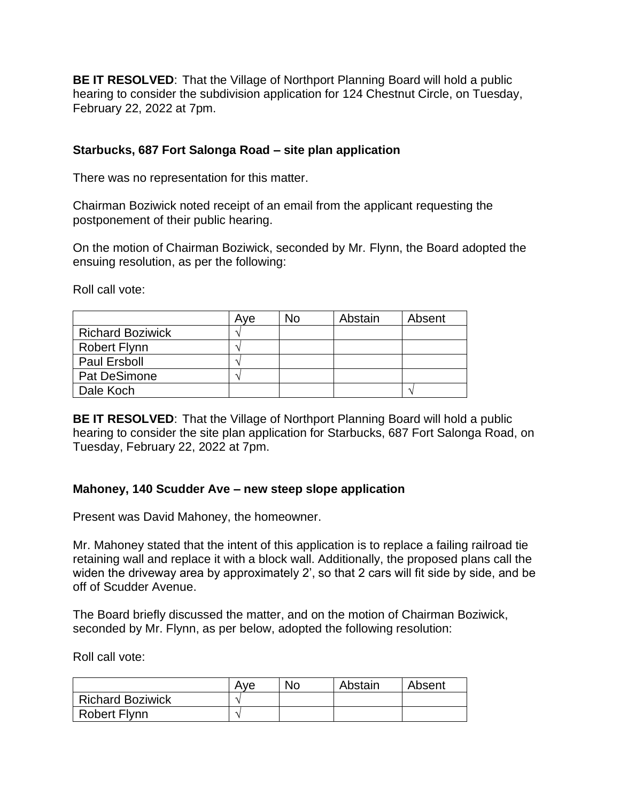**BE IT RESOLVED**: That the Village of Northport Planning Board will hold a public hearing to consider the subdivision application for 124 Chestnut Circle, on Tuesday, February 22, 2022 at 7pm.

# **Starbucks, 687 Fort Salonga Road – site plan application**

There was no representation for this matter.

Chairman Boziwick noted receipt of an email from the applicant requesting the postponement of their public hearing.

On the motion of Chairman Boziwick, seconded by Mr. Flynn, the Board adopted the ensuing resolution, as per the following:

Roll call vote:

|                         | Ave | No | Abstain | Absent |
|-------------------------|-----|----|---------|--------|
| <b>Richard Boziwick</b> |     |    |         |        |
| <b>Robert Flynn</b>     |     |    |         |        |
| Paul Ersboll            |     |    |         |        |
| <b>Pat DeSimone</b>     |     |    |         |        |
| Dale Koch               |     |    |         |        |

**BE IT RESOLVED:** That the Village of Northport Planning Board will hold a public hearing to consider the site plan application for Starbucks, 687 Fort Salonga Road, on Tuesday, February 22, 2022 at 7pm.

### **Mahoney, 140 Scudder Ave – new steep slope application**

Present was David Mahoney, the homeowner.

Mr. Mahoney stated that the intent of this application is to replace a failing railroad tie retaining wall and replace it with a block wall. Additionally, the proposed plans call the widen the driveway area by approximately 2', so that 2 cars will fit side by side, and be off of Scudder Avenue.

The Board briefly discussed the matter, and on the motion of Chairman Boziwick, seconded by Mr. Flynn, as per below, adopted the following resolution:

Roll call vote:

|                         | Ave | No | Abstain | Absent |
|-------------------------|-----|----|---------|--------|
| <b>Richard Boziwick</b> |     |    |         |        |
| <b>Robert Flynn</b>     |     |    |         |        |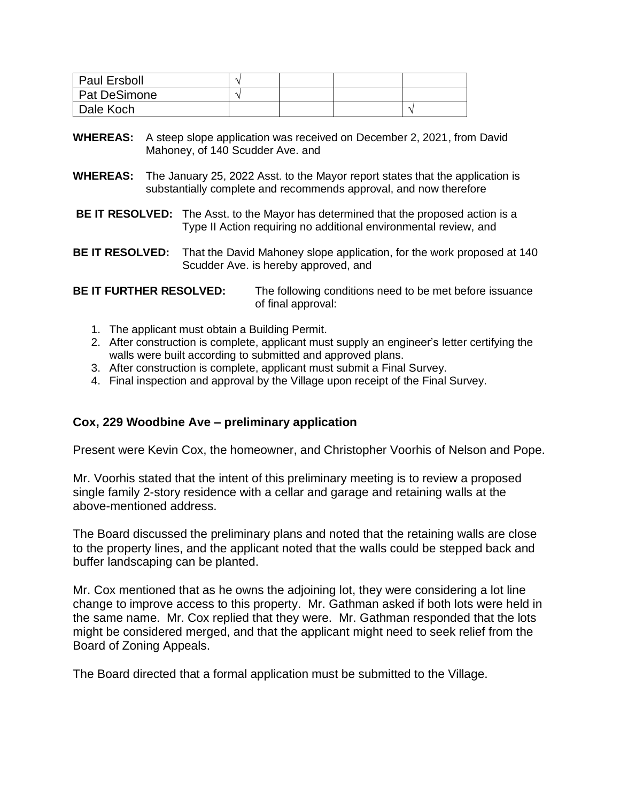| Paul Ersboll |  |  |
|--------------|--|--|
| Pat DeSimone |  |  |
| Dale Koch    |  |  |

- **WHEREAS:** A steep slope application was received on December 2, 2021, from David Mahoney, of 140 Scudder Ave. and
- **WHEREAS:** The January 25, 2022 Asst. to the Mayor report states that the application is substantially complete and recommends approval, and now therefore
- **BE IT RESOLVED:** The Asst. to the Mayor has determined that the proposed action is a Type II Action requiring no additional environmental review, and
- **BE IT RESOLVED:** That the David Mahoney slope application, for the work proposed at 140 Scudder Ave. is hereby approved, and

#### **BE IT FURTHER RESOLVED:** The following conditions need to be met before issuance of final approval:

- 1. The applicant must obtain a Building Permit.
- 2. After construction is complete, applicant must supply an engineer's letter certifying the walls were built according to submitted and approved plans.
- 3. After construction is complete, applicant must submit a Final Survey.
- 4. Final inspection and approval by the Village upon receipt of the Final Survey.

### **Cox, 229 Woodbine Ave – preliminary application**

Present were Kevin Cox, the homeowner, and Christopher Voorhis of Nelson and Pope.

Mr. Voorhis stated that the intent of this preliminary meeting is to review a proposed single family 2-story residence with a cellar and garage and retaining walls at the above-mentioned address.

The Board discussed the preliminary plans and noted that the retaining walls are close to the property lines, and the applicant noted that the walls could be stepped back and buffer landscaping can be planted.

Mr. Cox mentioned that as he owns the adjoining lot, they were considering a lot line change to improve access to this property. Mr. Gathman asked if both lots were held in the same name. Mr. Cox replied that they were. Mr. Gathman responded that the lots might be considered merged, and that the applicant might need to seek relief from the Board of Zoning Appeals.

The Board directed that a formal application must be submitted to the Village.